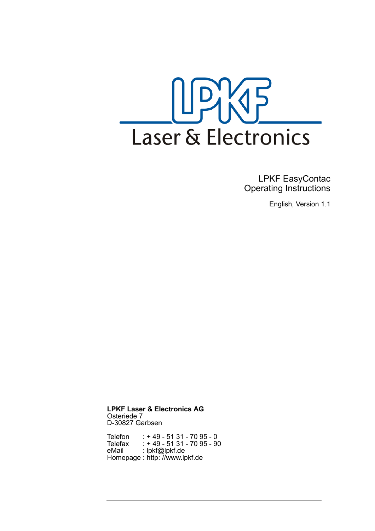

 LPKF EasyContac Operating Instructions

English, Version 1.1

**LPKF Laser & Electronics AG** Osteriede 7 D-30827 Garbsen

Telefon : + 49 - 51 31 - 70 95 - 0 Telefax : + 49 - 51 31 - 70 95 - 90 eMail : lpkf@lpkf.de Homepage : http: //www.lpkf.de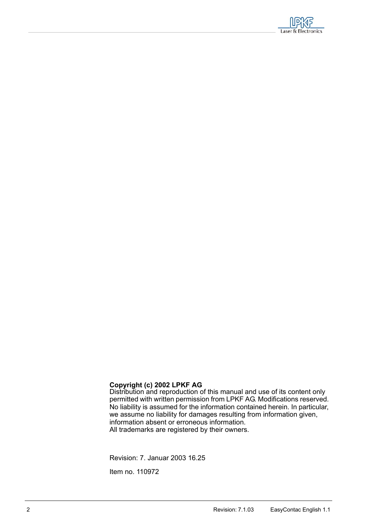

#### **Copyright (c) 2002 LPKF AG**

Distribution and reproduction of this manual and use of its content only permitted with written permission from LPKF AG. Modifications reserved. No liability is assumed for the information contained herein. In particular, we assume no liability for damages resulting from information given, information absent or erroneous information. All trademarks are registered by their owners.

Revision: 7. Januar 2003 16.25

Item no. 110972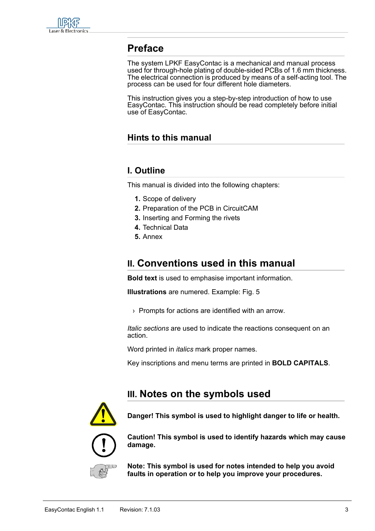

## **Preface**

<span id="page-2-2"></span>The system LPKF EasyContac is a mechanical and manual process used for through-hole plating of double-sided PCBs of 1.6 mm thickness. The electrical connection is produced by means of a self-acting tool. The process can be used for four different hole diameters.

This instruction gives you a step-by-step introduction of how to use EasyContac. This instruction should be read completely before initial use of EasyContac.

### **Hints to this manual**

### **I. Outline**

This manual is divided into the following chapters:

- <span id="page-2-3"></span> **1.** Scope of delivery
- **2.** Preparation of the PCB in CircuitCAM
- **3.** Inserting and Forming the rivets
- **4.** Technical Data
- <span id="page-2-0"></span> **5.** Annex

# **II. Conventions used in this manual**

**Bold text** is used to emphasise important information.

**Illustrations** are numered. Example: Fig. 5

› Prompts for actions are identified with an arrow.

*Italic sections* are used to indicate the reactions consequent on an action.

Word printed in *italics* mark proper names.

Key inscriptions and menu terms are printed in **BOLD CAPITALS**.

# <span id="page-2-1"></span>**III. Notes on the symbols used**



**Danger! This symbol is used to highlight danger to life or health.**



**Caution! This symbol is used to identify hazards which may cause damage.**

**Note: This symbol is used for notes intended to help you avoid faults in operation or to help you improve your procedures.**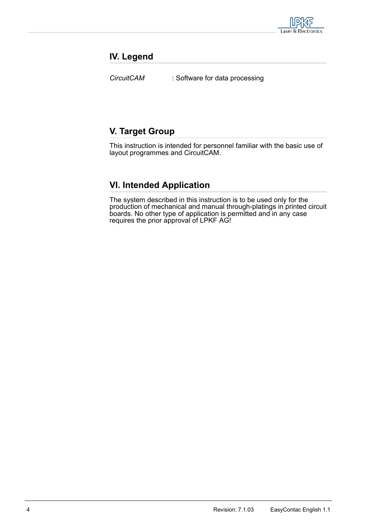

### **IV. Legend**

<span id="page-3-0"></span>*CircuitCAM* : Software for data processing

## **V. Target Group**

This instruction is intended for personnel familiar with the basic use of layout programmes and CircuitCAM.

## **VI. Intended Application**

The system described in this instruction is to be used only for the production of mechanical and manual through-platings in printed circuit boards. No other type of application is permitted and in any case requires the prior approval of LPKF AG!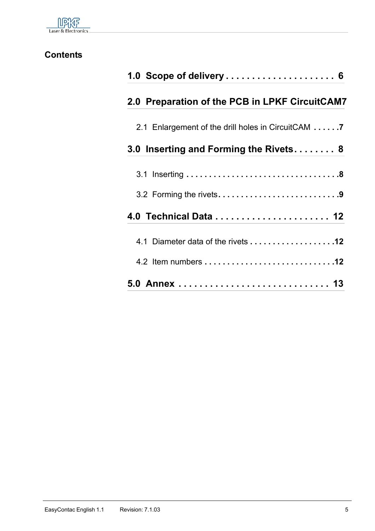

# **Contents**

| 1.0 Scope of delivery  6                           |
|----------------------------------------------------|
| 2.0 Preparation of the PCB in LPKF CircuitCAM7     |
| 2.1 Enlargement of the drill holes in CircuitCAM 7 |
| 3.0 Inserting and Forming the Rivets 8             |
|                                                    |
|                                                    |
|                                                    |
| 4.1 Diameter data of the rivets 12                 |
|                                                    |
|                                                    |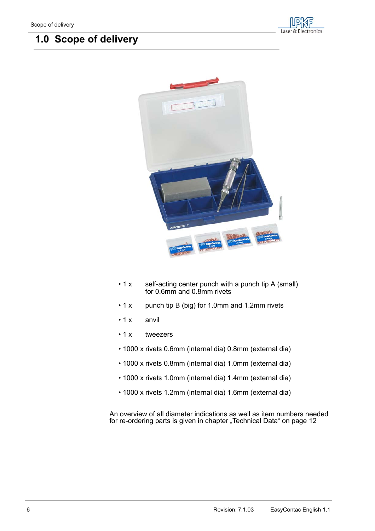# <span id="page-5-4"></span><span id="page-5-0"></span> **1.0 Scope of delivery**





- <span id="page-5-2"></span>• 1 x self-acting center punch with a punch tip A (small) for 0.6mm and 0.8mm rivets
- 1 x punch tip B (big) for 1.0mm and 1.2mm rivets
- <span id="page-5-1"></span>• 1 x anvil
- <span id="page-5-5"></span>• 1 x tweezers
- <span id="page-5-3"></span>• 1000 x rivets 0.6mm (internal dia) 0.8mm (external dia)
- 1000 x rivets 0.8mm (internal dia) 1.0mm (external dia)
- 1000 x rivets 1.0mm (internal dia) 1.4mm (external dia)
- 1000 x rivets 1.2mm (internal dia) 1.6mm (external dia)

An overview of all diameter indications as well as item numbers needed for re-ordering parts is given in chapter ["Technical Data" on page](#page-11-0) 12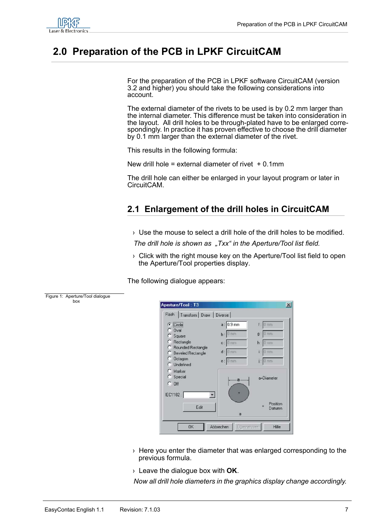

box

# <span id="page-6-5"></span><span id="page-6-0"></span> **2.0 Preparation of the PCB in LPKF CircuitCAM**

For the preparation of the PCB in LPKF software CircuitCAM (version 3.2 and higher) you should take the following considerations into account.

<span id="page-6-3"></span>The external diameter of the rivets to be used is by 0.2 mm larger than the internal diameter. This difference must be taken into consideration in the layout. All drill holes to be through-plated have to be enlarged correspondingly. In practice it has proven effective to choose the drill diameter by 0.1 mm larger than the external diameter of the rivet.

This results in the following formula:

New drill hole = external diameter of rivet  $+0.1$ mm

<span id="page-6-2"></span>The drill hole can either be enlarged in your layout program or later in CircuitCAM.

### <span id="page-6-4"></span><span id="page-6-1"></span>**2.1 Enlargement of the drill holes in CircuitCAM**

› Use the mouse to select a drill hole of the drill holes to be modified.

*The drill hole is shown as "Txx" in the Aperture/Tool list field.* 

› Click with the right mouse key on the Aperture/Tool list field to open the Aperture/Tool properties display.

The following dialogue appears:



|                                                       | Flash   Transform   Draw   Diverse |       |                    |
|-------------------------------------------------------|------------------------------------|-------|--------------------|
| $\epsilon$ Circle                                     | $a: 0.9$ mm                        |       | $f: 0 \text{ mm}$  |
| $C$ Oval<br>$C$ Square                                | $b:$ 0 mm                          |       | $g:$ 0 mm          |
| C.<br>Rectangle                                       | $c: 0$ mm                          |       | $h: 0 \text{ mm}$  |
| C Rounded Rectangle<br>C.<br><b>Beveled Rectangle</b> | $d: 0$ mm                          |       | $i: 0$ mm          |
| C Octagon<br>C Undefined                              | $e: 0 \text{ mm}$                  |       | $i:0$ mm           |
| C Marker<br>C Special<br>$C$ Off                      |                                    | $a -$ | a=Diameter         |
| IEC1182:                                              | $\blacktriangledown$               |       |                    |
|                                                       | Edit                               | a     | Position<br>Datumn |
|                                                       |                                    |       |                    |

- $\rightarrow$  Here you enter the diameter that was enlarged corresponding to the previous formula.
- › Leave the dialogue box with **OK**.

*Now all drill hole diameters in the graphics display change accordingly.*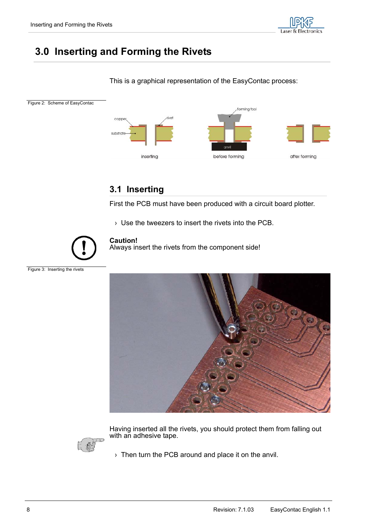

# <span id="page-7-3"></span><span id="page-7-0"></span> **3.0 Inserting and Forming the Rivets**

#### This is a graphical representation of the EasyContac process:



## <span id="page-7-1"></span>**3.1 Inserting**

First the PCB must have been produced with a circuit board plotter.

<span id="page-7-4"></span>› Use the tweezers to insert the rivets into the PCB.



#### **Caution!**

Always insert the rivets from the component side!





Having inserted all the rivets, you should protect them from falling out with an adhesive tape.

<span id="page-7-2"></span>› Then turn the PCB around and place it on the anvil.

Figure 3: Inserting the rivets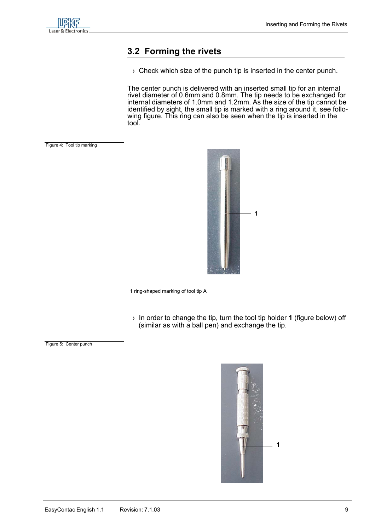

### <span id="page-8-2"></span><span id="page-8-0"></span>**3.2 Forming the rivets**

<span id="page-8-1"></span> $\rightarrow$  Check which size of the punch tip is inserted in the center punch.

The center punch is delivered with an inserted small tip for an internal rivet diameter of 0.6mm and 0.8mm. The tip needs to be exchanged for internal diameters of 1.0mm and 1.2mm. As the size of the tip cannot be identified by sight, the small tip is marked with a ring around it, see following figure. This ring can also be seen when the tip is inserted in the tool.

Figure 4: Tool tip marking

<span id="page-8-3"></span>

1 ring-shaped marking of tool tip A

› In order to change the tip, turn the tool tip holder **1** (figure below) off (similar as with a ball pen) and exchange the tip.

Figure 5: Center punch

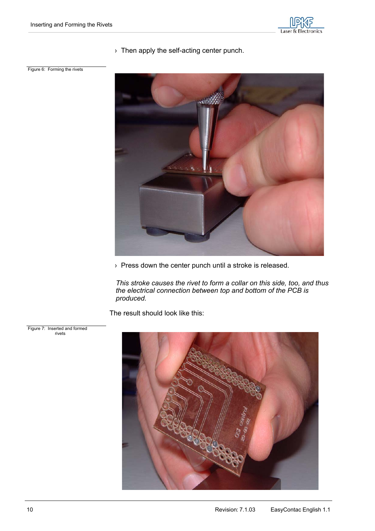

› Then apply the self-acting center punch.

Figure 6: Forming the rivets



› Press down the center punch until a stroke is released.

*This stroke causes the rivet to form a collar on this side, too, and thus the electrical connection between top and bottom of the PCB is produced.* 

The result should look like this:



 Figure 7: Inserted and formed rivets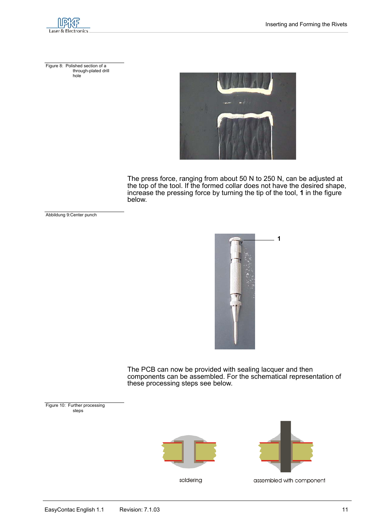

 Figure 8: Polished section of a through-plated drill hole



The press force, ranging from about 50 N to 250 N, can be adjusted at the top of the tool. If the formed collar does not have the desired shape, increase the pressing force by turning the tip of the tool, **1** in the figure below.

Abbildung 9:Center punch



The PCB can now be provided with sealing lacquer and then components can be assembled. For the schematical representation of these processing steps see below.

 Figure 10: Further processing steps



<span id="page-10-0"></span>

soldering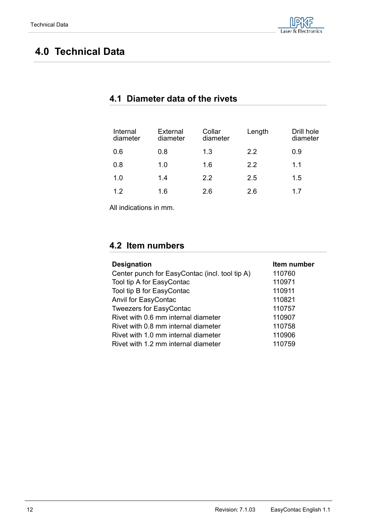# <span id="page-11-0"></span> **4.0 Technical Data**

| Internal<br>diameter | External<br>diameter | Collar<br>diameter | Length | Drill hole<br>diameter |
|----------------------|----------------------|--------------------|--------|------------------------|
| 0.6                  | 0.8                  | 1.3                | 2.2    | 0.9                    |
| 0.8                  | 1.0                  | 1.6                | 2.2    | 1.1                    |
| 1.0                  | 1.4                  | 2.2                | 2.5    | 1.5                    |
| 12                   | 1.6                  | 2.6                | 2.6    | 17                     |

### <span id="page-11-1"></span>**4.1 Diameter data of the rivets**

All indications in mm.

## <span id="page-11-2"></span>**4.2 Item numbers**

| <b>Designation</b>                             | Item number |
|------------------------------------------------|-------------|
| Center punch for EasyContac (incl. tool tip A) | 110760      |
| Tool tip A for EasyContac                      | 110971      |
| Tool tip B for EasyContac                      | 110911      |
| Anvil for EasyContac                           | 110821      |
| <b>Tweezers for EasyContac</b>                 | 110757      |
| Rivet with 0.6 mm internal diameter            | 110907      |
| Rivet with 0.8 mm internal diameter            | 110758      |
| Rivet with 1.0 mm internal diameter            | 110906      |
| Rivet with 1.2 mm internal diameter            | 110759      |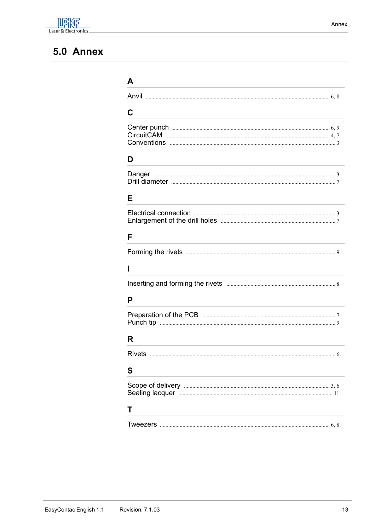

# <span id="page-12-0"></span>5.0 Annex

| A                           |
|-----------------------------|
|                             |
| C                           |
|                             |
| D                           |
|                             |
| Е                           |
|                             |
| F                           |
|                             |
| ı                           |
|                             |
| P                           |
|                             |
| R                           |
| <b>Rivets</b><br>$\epsilon$ |
| S                           |
|                             |
| т                           |
| Tweezers<br>6.8             |